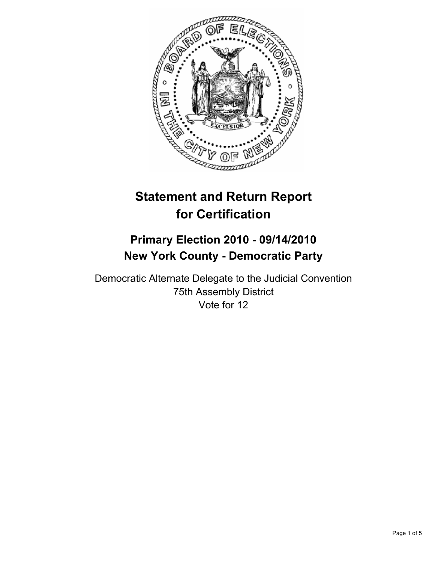

# **Statement and Return Report for Certification**

# **Primary Election 2010 - 09/14/2010 New York County - Democratic Party**

Democratic Alternate Delegate to the Judicial Convention 75th Assembly District Vote for 12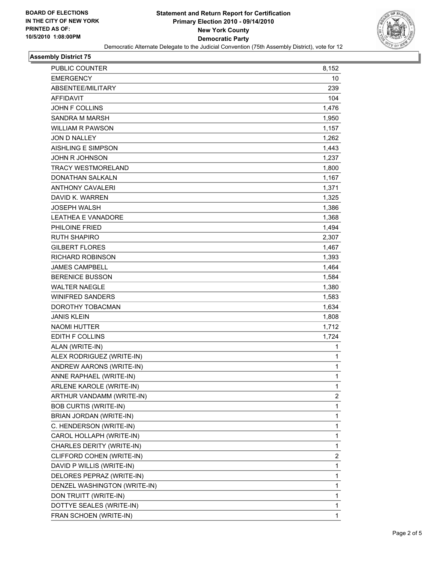

## **Assembly District 75**

| PUBLIC COUNTER               | 8,152        |
|------------------------------|--------------|
| <b>EMERGENCY</b>             | 10           |
| ABSENTEE/MILITARY            | 239          |
| <b>AFFIDAVIT</b>             | 104          |
| <b>JOHN F COLLINS</b>        | 1,476        |
| <b>SANDRA M MARSH</b>        | 1,950        |
| <b>WILLIAM R PAWSON</b>      | 1,157        |
| <b>JON D NALLEY</b>          | 1,262        |
| <b>AISHLING E SIMPSON</b>    | 1,443        |
| <b>JOHN R JOHNSON</b>        | 1,237        |
| TRACY WESTMORELAND           | 1,800        |
| <b>DONATHAN SALKALN</b>      | 1,167        |
| <b>ANTHONY CAVALERI</b>      | 1,371        |
| DAVID K. WARREN              | 1,325        |
| <b>JOSEPH WALSH</b>          | 1,386        |
| <b>LEATHEA E VANADORE</b>    | 1,368        |
| <b>PHILOINE FRIED</b>        | 1,494        |
| <b>RUTH SHAPIRO</b>          | 2.307        |
| <b>GILBERT FLORES</b>        | 1,467        |
| RICHARD ROBINSON             | 1,393        |
| <b>JAMES CAMPBELL</b>        | 1,464        |
| <b>BERENICE BUSSON</b>       | 1,584        |
| <b>WALTER NAEGLE</b>         | 1,380        |
| <b>WINIFRED SANDERS</b>      | 1,583        |
| DOROTHY TOBACMAN             | 1,634        |
| <b>JANIS KLEIN</b>           | 1,808        |
| <b>NAOMI HUTTER</b>          | 1,712        |
| EDITH F COLLINS              | 1,724        |
| ALAN (WRITE-IN)              | 1            |
| ALEX RODRIGUEZ (WRITE-IN)    | 1            |
| ANDREW AARONS (WRITE-IN)     | 1            |
| ANNE RAPHAEL (WRITE-IN)      | 1            |
| ARLENE KAROLE (WRITE-IN)     | 1            |
| ARTHUR VANDAMM (WRITE-IN)    | 2            |
| <b>BOB CURTIS (WRITE-IN)</b> | 1            |
| BRIAN JORDAN (WRITE-IN)      | 1            |
| C. HENDERSON (WRITE-IN)      | 1            |
| CAROL HOLLAPH (WRITE-IN)     | 1            |
| CHARLES DERITY (WRITE-IN)    | 1            |
| CLIFFORD COHEN (WRITE-IN)    | 2            |
| DAVID P WILLIS (WRITE-IN)    | 1            |
| DELORES PEPRAZ (WRITE-IN)    | 1            |
| DENZEL WASHINGTON (WRITE-IN) | 1            |
| DON TRUITT (WRITE-IN)        | 1            |
| DOTTYE SEALES (WRITE-IN)     | 1            |
| FRAN SCHOEN (WRITE-IN)       | $\mathbf{1}$ |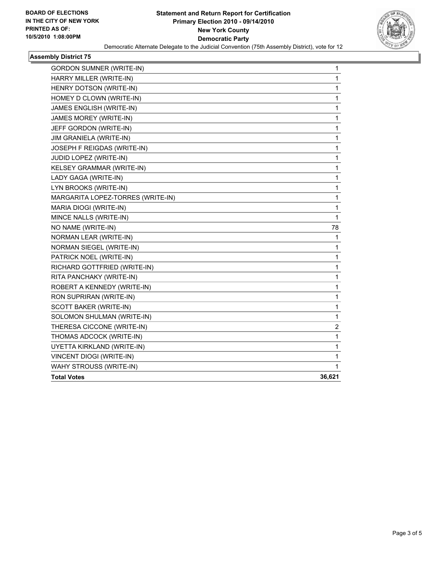

# **Assembly District 75**

| <b>GORDON SUMNER (WRITE-IN)</b>   | 1      |
|-----------------------------------|--------|
| HARRY MILLER (WRITE-IN)           | 1      |
| HENRY DOTSON (WRITE-IN)           | 1      |
| HOMEY D CLOWN (WRITE-IN)          | 1      |
| JAMES ENGLISH (WRITE-IN)          | 1      |
| <b>JAMES MOREY (WRITE-IN)</b>     | 1      |
| JEFF GORDON (WRITE-IN)            | 1      |
| JIM GRANIELA (WRITE-IN)           | 1      |
| JOSEPH F REIGDAS (WRITE-IN)       | 1      |
| JUDID LOPEZ (WRITE-IN)            | 1      |
| KELSEY GRAMMAR (WRITE-IN)         | 1      |
| LADY GAGA (WRITE-IN)              | 1      |
| LYN BROOKS (WRITE-IN)             | 1      |
| MARGARITA LOPEZ-TORRES (WRITE-IN) | 1      |
| MARIA DIOGI (WRITE-IN)            | 1      |
| MINCE NALLS (WRITE-IN)            | 1      |
| NO NAME (WRITE-IN)                | 78     |
| NORMAN LEAR (WRITE-IN)            | 1      |
| NORMAN SIEGEL (WRITE-IN)          | 1      |
| PATRICK NOEL (WRITE-IN)           | 1      |
| RICHARD GOTTFRIED (WRITE-IN)      | 1      |
| RITA PANCHAKY (WRITE-IN)          | 1      |
| ROBERT A KENNEDY (WRITE-IN)       | 1      |
| RON SUPRIRAN (WRITE-IN)           | 1      |
| SCOTT BAKER (WRITE-IN)            | 1      |
| SOLOMON SHULMAN (WRITE-IN)        | 1      |
| THERESA CICCONE (WRITE-IN)        | 2      |
| THOMAS ADCOCK (WRITE-IN)          | 1      |
| UYETTA KIRKLAND (WRITE-IN)        | 1      |
| VINCENT DIOGI (WRITE-IN)          | 1      |
| WAHY STROUSS (WRITE-IN)           | 1      |
| <b>Total Votes</b>                | 36,621 |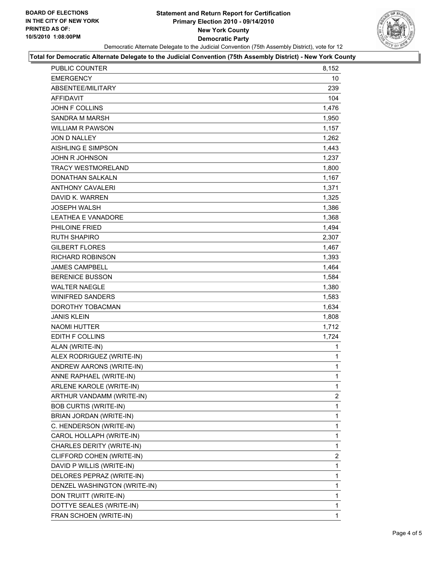# **Statement and Return Report for Certification Primary Election 2010 - 09/14/2010 New York County Democratic Party** Democratic Alternate Delegate to the Judicial Convention (75th Assembly District), vote for 12



## **Total for Democratic Alternate Delegate to the Judicial Convention (75th Assembly District) - New York County**

| PUBLIC COUNTER               | 8,152        |
|------------------------------|--------------|
| <b>EMERGENCY</b>             | 10           |
| ABSENTEE/MILITARY            | 239          |
| AFFIDAVIT                    | 104          |
| <b>JOHN F COLLINS</b>        | 1,476        |
| SANDRA M MARSH               | 1,950        |
| <b>WILLIAM R PAWSON</b>      | 1,157        |
| JON D NALLEY                 | 1,262        |
| <b>AISHLING E SIMPSON</b>    | 1,443        |
| <b>JOHN R JOHNSON</b>        | 1,237        |
| <b>TRACY WESTMORELAND</b>    | 1,800        |
| <b>DONATHAN SALKALN</b>      | 1,167        |
| <b>ANTHONY CAVALERI</b>      | 1,371        |
| DAVID K. WARREN              | 1,325        |
| <b>JOSEPH WALSH</b>          | 1,386        |
| <b>LEATHEA E VANADORE</b>    | 1,368        |
| PHILOINE FRIED               | 1,494        |
| <b>RUTH SHAPIRO</b>          | 2,307        |
| <b>GILBERT FLORES</b>        | 1,467        |
| <b>RICHARD ROBINSON</b>      | 1,393        |
| <b>JAMES CAMPBELL</b>        | 1,464        |
| <b>BERENICE BUSSON</b>       | 1,584        |
| <b>WALTER NAEGLE</b>         | 1,380        |
| <b>WINIFRED SANDERS</b>      | 1,583        |
| DOROTHY TOBACMAN             | 1,634        |
| <b>JANIS KLEIN</b>           | 1,808        |
| <b>NAOMI HUTTER</b>          | 1,712        |
| EDITH F COLLINS              | 1,724        |
| ALAN (WRITE-IN)              | 1            |
| ALEX RODRIGUEZ (WRITE-IN)    | 1            |
| ANDREW AARONS (WRITE-IN)     | $\mathbf{1}$ |
| ANNE RAPHAEL (WRITE-IN)      | $\mathbf{1}$ |
| ARLENE KAROLE (WRITE-IN)     | 1            |
| ARTHUR VANDAMM (WRITE-IN)    | 2            |
| <b>BOB CURTIS (WRITE-IN)</b> | 1            |
| BRIAN JORDAN (WRITE-IN)      | 1            |
| C. HENDERSON (WRITE-IN)      | $\mathbf{1}$ |
| CAROL HOLLAPH (WRITE-IN)     | 1            |
| CHARLES DERITY (WRITE-IN)    | 1            |
| CLIFFORD COHEN (WRITE-IN)    | 2            |
| DAVID P WILLIS (WRITE-IN)    | 1            |
| DELORES PEPRAZ (WRITE-IN)    | 1            |
| DENZEL WASHINGTON (WRITE-IN) | $\mathbf{1}$ |
| DON TRUITT (WRITE-IN)        | 1            |
| DOTTYE SEALES (WRITE-IN)     | 1            |
| FRAN SCHOEN (WRITE-IN)       | 1            |